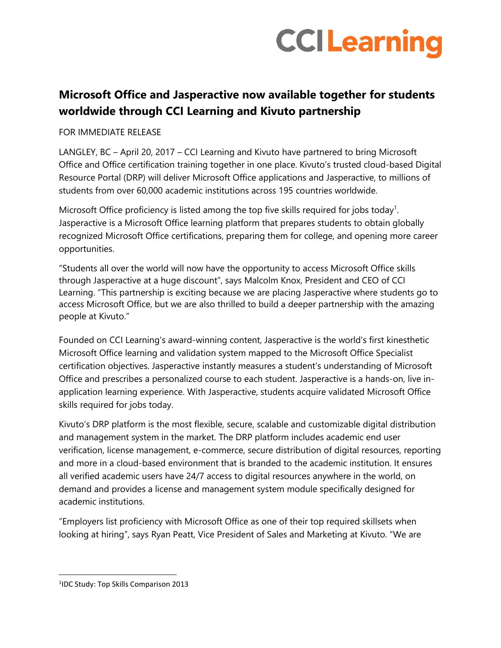# **CCILearning**

# **Microsoft Office and Jasperactive now available together for students worldwide through CCI Learning and Kivuto partnership**

FOR IMMEDIATE RELEASE

LANGLEY, BC – April 20, 2017 – CCI Learning and Kivuto have partnered to bring Microsoft Office and Office certification training together in one place. Kivuto's trusted cloud-based Digital Resource Portal (DRP) will deliver Microsoft Office applications and Jasperactive, to millions of students from over 60,000 academic institutions across 195 countries worldwide.

Microsoft Office proficiency is listed among the top five skills required for jobs today<sup>1</sup>. Jasperactive is a Microsoft Office learning platform that prepares students to obtain globally recognized Microsoft Office certifications, preparing them for college, and opening more career opportunities.

"Students all over the world will now have the opportunity to access Microsoft Office skills through Jasperactive at a huge discount", says Malcolm Knox, President and CEO of CCI Learning. "This partnership is exciting because we are placing Jasperactive where students go to access Microsoft Office, but we are also thrilled to build a deeper partnership with the amazing people at Kivuto."

Founded on CCI Learning's award-winning content, Jasperactive is the world's first kinesthetic Microsoft Office learning and validation system mapped to the Microsoft Office Specialist certification objectives. Jasperactive instantly measures a student's understanding of Microsoft Office and prescribes a personalized course to each student. Jasperactive is a hands-on, live inapplication learning experience. With Jasperactive, students acquire validated Microsoft Office skills required for jobs today.

Kivuto's DRP platform is the most flexible, secure, scalable and customizable digital distribution and management system in the market. The DRP platform includes academic end user verification, license management, e-commerce, secure distribution of digital resources, reporting and more in a cloud-based environment that is branded to the academic institution. It ensures all verified academic users have 24/7 access to digital resources anywhere in the world, on demand and provides a license and management system module specifically designed for academic institutions.

"Employers list proficiency with Microsoft Office as one of their top required skillsets when looking at hiring", says Ryan Peatt, Vice President of Sales and Marketing at Kivuto. "We are

 $\overline{a}$ 

<sup>1</sup> IDC Study: Top Skills Comparison 2013